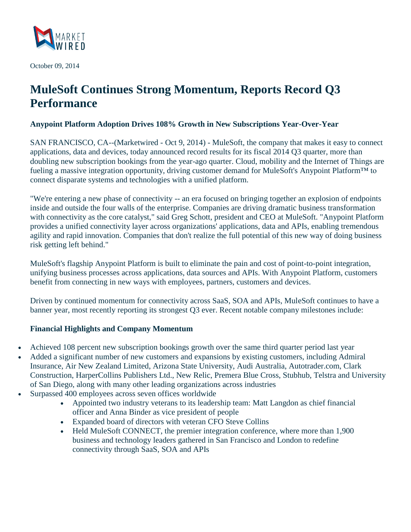

October 09, 2014

# **MuleSoft Continues Strong Momentum, Reports Record Q3 Performance**

## **Anypoint Platform Adoption Drives 108% Growth in New Subscriptions Year-Over-Year**

SAN FRANCISCO, CA--(Marketwired - Oct 9, 2014) - MuleSoft, the company that makes it easy to connect applications, data and devices, today announced record results for its fiscal 2014 Q3 quarter, more than doubling new subscription bookings from the year-ago quarter. Cloud, mobility and the Internet of Things are fueling a massive integration opportunity, driving customer demand for MuleSoft's Anypoint Platform™ to connect disparate systems and technologies with a unified platform.

"We're entering a new phase of connectivity -- an era focused on bringing together an explosion of endpoints inside and outside the four walls of the enterprise. Companies are driving dramatic business transformation with connectivity as the core catalyst," said Greg Schott, president and CEO at MuleSoft. "Anypoint Platform provides a unified connectivity layer across organizations' applications, data and APIs, enabling tremendous agility and rapid innovation. Companies that don't realize the full potential of this new way of doing business risk getting left behind."

MuleSoft's flagship Anypoint Platform is built to eliminate the pain and cost of point-to-point integration, unifying business processes across applications, data sources and APIs. With Anypoint Platform, customers benefit from connecting in new ways with employees, partners, customers and devices.

Driven by continued momentum for connectivity across SaaS, SOA and APIs, MuleSoft continues to have a banner year, most recently reporting its strongest Q3 ever. Recent notable company milestones include:

## **Financial Highlights and Company Momentum**

- Achieved 108 percent new subscription bookings growth over the same third quarter period last year
- Added a significant number of new customers and expansions by existing customers, including Admiral Insurance, Air New Zealand Limited, Arizona State University, Audi Australia, Autotrader.com, Clark Construction, HarperCollins Publishers Ltd., New Relic, Premera Blue Cross, Stubhub, Telstra and University of San Diego, along with many other leading organizations across industries
- Surpassed 400 employees across seven offices worldwide
	- Appointed two industry veterans to its leadership team: Matt Langdon as chief financial officer and Anna Binder as vice president of people
	- Expanded board of directors with veteran CFO Steve Collins
	- Held MuleSoft CONNECT, the premier integration conference, where more than 1,900 business and technology leaders gathered in San Francisco and London to redefine connectivity through SaaS, SOA and APIs